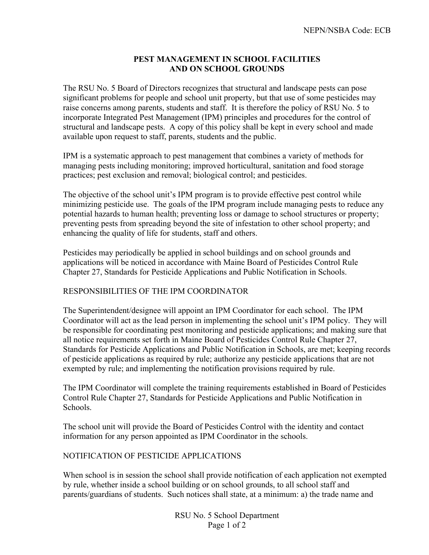## **PEST MANAGEMENT IN SCHOOL FACILITIES AND ON SCHOOL GROUNDS**

The RSU No. 5 Board of Directors recognizes that structural and landscape pests can pose significant problems for people and school unit property, but that use of some pesticides may raise concerns among parents, students and staff. It is therefore the policy of RSU No. 5 to incorporate Integrated Pest Management (IPM) principles and procedures for the control of structural and landscape pests. A copy of this policy shall be kept in every school and made available upon request to staff, parents, students and the public.

IPM is a systematic approach to pest management that combines a variety of methods for managing pests including monitoring; improved horticultural, sanitation and food storage practices; pest exclusion and removal; biological control; and pesticides.

The objective of the school unit's IPM program is to provide effective pest control while minimizing pesticide use. The goals of the IPM program include managing pests to reduce any potential hazards to human health; preventing loss or damage to school structures or property; preventing pests from spreading beyond the site of infestation to other school property; and enhancing the quality of life for students, staff and others.

Pesticides may periodically be applied in school buildings and on school grounds and applications will be noticed in accordance with Maine Board of Pesticides Control Rule Chapter 27, Standards for Pesticide Applications and Public Notification in Schools.

## RESPONSIBILITIES OF THE IPM COORDINATOR

The Superintendent/designee will appoint an IPM Coordinator for each school. The IPM Coordinator will act as the lead person in implementing the school unit's IPM policy. They will be responsible for coordinating pest monitoring and pesticide applications; and making sure that all notice requirements set forth in Maine Board of Pesticides Control Rule Chapter 27, Standards for Pesticide Applications and Public Notification in Schools, are met; keeping records of pesticide applications as required by rule; authorize any pesticide applications that are not exempted by rule; and implementing the notification provisions required by rule.

The IPM Coordinator will complete the training requirements established in Board of Pesticides Control Rule Chapter 27, Standards for Pesticide Applications and Public Notification in Schools.

The school unit will provide the Board of Pesticides Control with the identity and contact information for any person appointed as IPM Coordinator in the schools.

## NOTIFICATION OF PESTICIDE APPLICATIONS

When school is in session the school shall provide notification of each application not exempted by rule, whether inside a school building or on school grounds, to all school staff and parents/guardians of students. Such notices shall state, at a minimum: a) the trade name and

> RSU No. 5 School Department Page 1 of 2